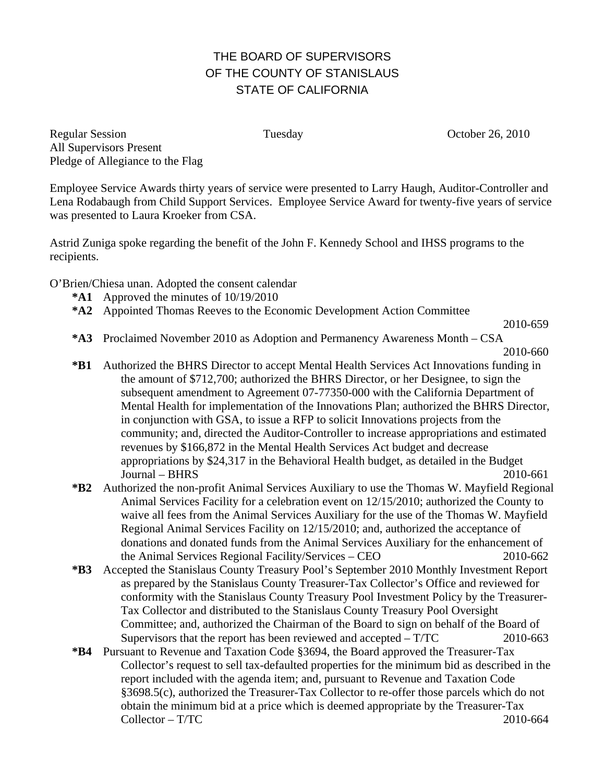## THE BOARD OF SUPERVISORS OF THE COUNTY OF STANISLAUS STATE OF CALIFORNIA

Regular Session Tuesday Corober 26, 2010 All Supervisors Present Pledge of Allegiance to the Flag

Employee Service Awards thirty years of service were presented to Larry Haugh, Auditor-Controller and Lena Rodabaugh from Child Support Services. Employee Service Award for twenty-five years of service was presented to Laura Kroeker from CSA.

Astrid Zuniga spoke regarding the benefit of the John F. Kennedy School and IHSS programs to the recipients.

O'Brien/Chiesa unan. Adopted the consent calendar

- **\*A1** Approved the minutes of 10/19/2010
- **\*A2** Appointed Thomas Reeves to the Economic Development Action Committee

2010-659

**\*A3** Proclaimed November 2010 as Adoption and Permanency Awareness Month – CSA

2010-660

- **\*B1** Authorized the BHRS Director to accept Mental Health Services Act Innovations funding in the amount of \$712,700; authorized the BHRS Director, or her Designee, to sign the subsequent amendment to Agreement 07-77350-000 with the California Department of Mental Health for implementation of the Innovations Plan; authorized the BHRS Director, in conjunction with GSA, to issue a RFP to solicit Innovations projects from the community; and, directed the Auditor-Controller to increase appropriations and estimated revenues by \$166,872 in the Mental Health Services Act budget and decrease appropriations by \$24,317 in the Behavioral Health budget, as detailed in the Budget Journal – BHRS 2010-661
- **\*B2** Authorized the non-profit Animal Services Auxiliary to use the Thomas W. Mayfield Regional Animal Services Facility for a celebration event on 12/15/2010; authorized the County to waive all fees from the Animal Services Auxiliary for the use of the Thomas W. Mayfield Regional Animal Services Facility on 12/15/2010; and, authorized the acceptance of donations and donated funds from the Animal Services Auxiliary for the enhancement of the Animal Services Regional Facility/Services – CEO 2010-662
- **\*B3** Accepted the Stanislaus County Treasury Pool's September 2010 Monthly Investment Report as prepared by the Stanislaus County Treasurer-Tax Collector's Office and reviewed for conformity with the Stanislaus County Treasury Pool Investment Policy by the Treasurer-Tax Collector and distributed to the Stanislaus County Treasury Pool Oversight Committee; and, authorized the Chairman of the Board to sign on behalf of the Board of Supervisors that the report has been reviewed and accepted – T/TC 2010-663
- **\*B4** Pursuant to Revenue and Taxation Code §3694, the Board approved the Treasurer-Tax Collector's request to sell tax-defaulted properties for the minimum bid as described in the report included with the agenda item; and, pursuant to Revenue and Taxation Code §3698.5(c), authorized the Treasurer-Tax Collector to re-offer those parcels which do not obtain the minimum bid at a price which is deemed appropriate by the Treasurer-Tax  $\text{Collector} - \text{T/TC}$  2010-664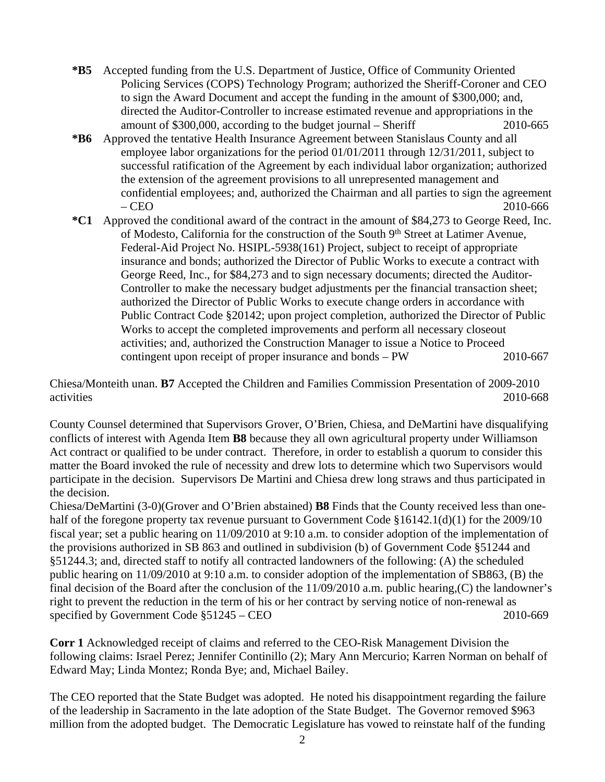- **\*B5** Accepted funding from the U.S. Department of Justice, Office of Community Oriented Policing Services (COPS) Technology Program; authorized the Sheriff-Coroner and CEO to sign the Award Document and accept the funding in the amount of \$300,000; and, directed the Auditor-Controller to increase estimated revenue and appropriations in the amount of \$300,000, according to the budget journal – Sheriff 2010-665
- **\*B6** Approved the tentative Health Insurance Agreement between Stanislaus County and all employee labor organizations for the period 01/01/2011 through 12/31/2011, subject to successful ratification of the Agreement by each individual labor organization; authorized the extension of the agreement provisions to all unrepresented management and confidential employees; and, authorized the Chairman and all parties to sign the agreement – CEO 2010-666
- **\*C1** Approved the conditional award of the contract in the amount of \$84,273 to George Reed, Inc. of Modesto, California for the construction of the South 9th Street at Latimer Avenue, Federal-Aid Project No. HSIPL-5938(161) Project, subject to receipt of appropriate insurance and bonds; authorized the Director of Public Works to execute a contract with George Reed, Inc., for \$84,273 and to sign necessary documents; directed the Auditor-Controller to make the necessary budget adjustments per the financial transaction sheet; authorized the Director of Public Works to execute change orders in accordance with Public Contract Code §20142; upon project completion, authorized the Director of Public Works to accept the completed improvements and perform all necessary closeout activities; and, authorized the Construction Manager to issue a Notice to Proceed contingent upon receipt of proper insurance and bonds – PW 2010-667

Chiesa/Monteith unan. **B7** Accepted the Children and Families Commission Presentation of 2009-2010 activities 2010-668

County Counsel determined that Supervisors Grover, O'Brien, Chiesa, and DeMartini have disqualifying conflicts of interest with Agenda Item **B8** because they all own agricultural property under Williamson Act contract or qualified to be under contract. Therefore, in order to establish a quorum to consider this matter the Board invoked the rule of necessity and drew lots to determine which two Supervisors would participate in the decision. Supervisors De Martini and Chiesa drew long straws and thus participated in the decision.

Chiesa/DeMartini (3-0)(Grover and O'Brien abstained) **B8** Finds that the County received less than onehalf of the foregone property tax revenue pursuant to Government Code §16142.1(d)(1) for the 2009/10 fiscal year; set a public hearing on 11/09/2010 at 9:10 a.m. to consider adoption of the implementation of the provisions authorized in SB 863 and outlined in subdivision (b) of Government Code §51244 and §51244.3; and, directed staff to notify all contracted landowners of the following: (A) the scheduled public hearing on 11/09/2010 at 9:10 a.m. to consider adoption of the implementation of SB863, (B) the final decision of the Board after the conclusion of the 11/09/2010 a.m. public hearing,(C) the landowner's right to prevent the reduction in the term of his or her contract by serving notice of non-renewal as specified by Government Code  $\S 51245 - CEO$  2010-669

**Corr 1** Acknowledged receipt of claims and referred to the CEO-Risk Management Division the following claims: Israel Perez; Jennifer Continillo (2); Mary Ann Mercurio; Karren Norman on behalf of Edward May; Linda Montez; Ronda Bye; and, Michael Bailey.

The CEO reported that the State Budget was adopted. He noted his disappointment regarding the failure of the leadership in Sacramento in the late adoption of the State Budget. The Governor removed \$963 million from the adopted budget. The Democratic Legislature has vowed to reinstate half of the funding